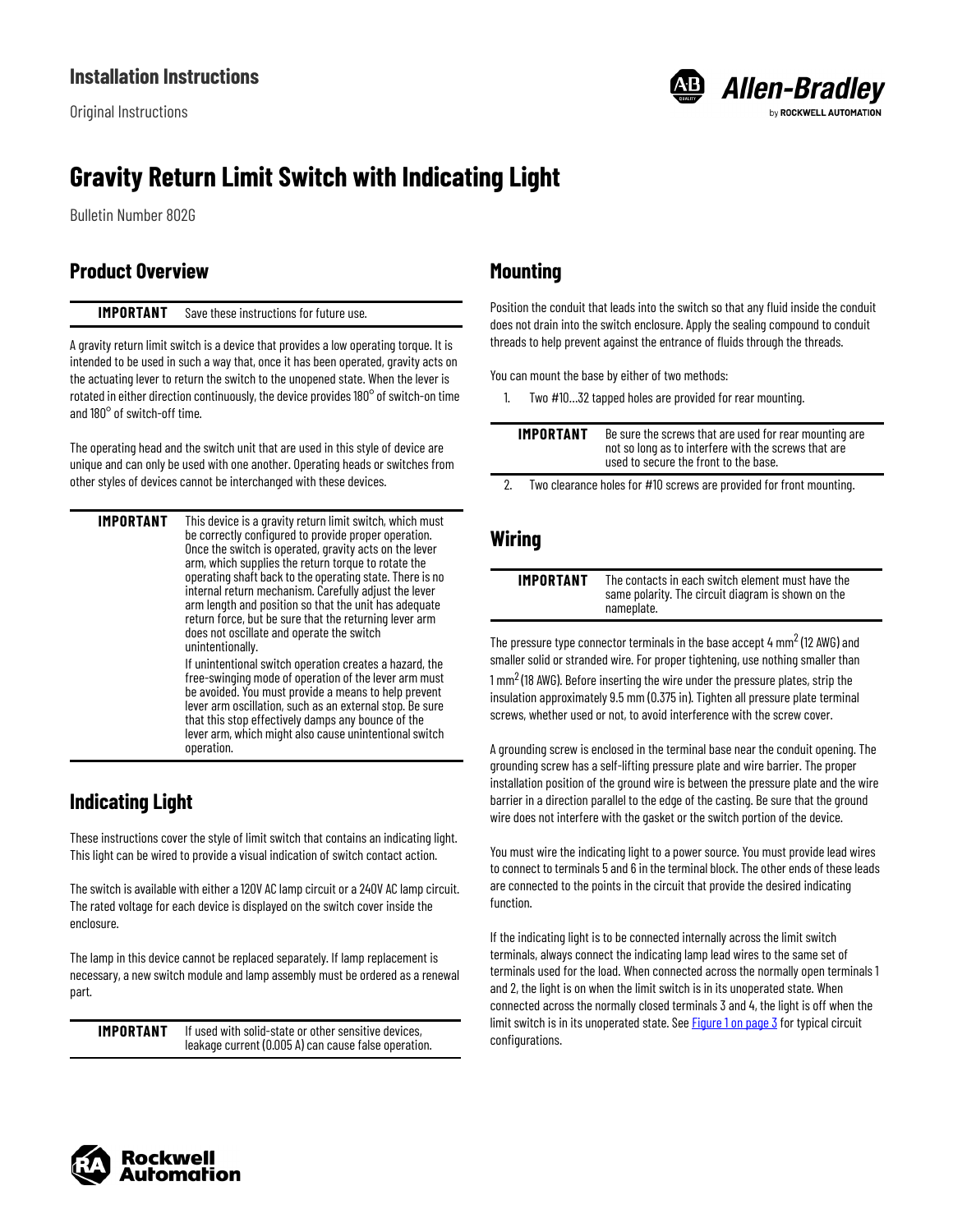Original Instructions



# **Gravity Return Limit Switch with Indicating Light**

Bulletin Number 802G

### <span id="page-0-0"></span>**Product Overview**

#### **IMPORTANT** Save these instructions for future use.

A gravity return limit switch is a device that provides a low operating torque. It is intended to be used in such a way that, once it has been operated, gravity acts on the actuating lever to return the switch to the unopened state. When the lever is rotated in either direction continuously, the device provides 180° of switch-on time and 180° of switch-off time.

The operating head and the switch unit that are used in this style of device are unique and can only be used with one another. Operating heads or switches from other styles of devices cannot be interchanged with these devices.

**IMPORTANT** This device is a gravity return limit switch, which must be correctly configured to provide proper operation. Once the switch is operated, gravity acts on the lever arm, which supplies the return torque to rotate the operating shaft back to the operating state. There is no internal return mechanism. Carefully adjust the lever arm length and position so that the unit has adequate return force, but be sure that the returning lever arm does not oscillate and operate the switch unintentionally. If unintentional switch operation creates a hazard, the free-swinging mode of operation of the lever arm must be avoided. You must provide a means to help prevent

lever arm oscillation, such as an external stop. Be sure that this stop effectively damps any bounce of the lever arm, which might also cause unintentional switch operation.

# **Indicating Light**

These instructions cover the style of limit switch that contains an indicating light. This light can be wired to provide a visual indication of switch contact action.

The switch is available with either a 120V AC lamp circuit or a 240V AC lamp circuit. The rated voltage for each device is displayed on the switch cover inside the enclosure.

The lamp in this device cannot be replaced separately. If lamp replacement is necessary, a new switch module and lamp assembly must be ordered as a renewal part.

**IMPORTANT** If used with solid-state or other sensitive devices, leakage current (0.005 A) can cause false operation.

### **Mounting**

Position the conduit that leads into the switch so that any fluid inside the conduit does not drain into the switch enclosure. Apply the sealing compound to conduit threads to help prevent against the entrance of fluids through the threads.

You can mount the base by either of two methods:

1. Two #10…32 tapped holes are provided for rear mounting.

|  | IMPORTANT | Be sure the screws that are used for rear mounting are<br>not so long as to interfere with the screws that are<br>used to secure the front to the base. |
|--|-----------|---------------------------------------------------------------------------------------------------------------------------------------------------------|
|--|-----------|---------------------------------------------------------------------------------------------------------------------------------------------------------|

Two clearance holes for #10 screws are provided for front mounting.

#### **Wiring**

| IMPORTANT | The contacts in each switch element must have the                |
|-----------|------------------------------------------------------------------|
|           | same polarity. The circuit diagram is shown on the<br>nameplate. |

The pressure type connector terminals in the base accept 4  $\text{mm}^2$  (12 AWG) and smaller solid or stranded wire. For proper tightening, use nothing smaller than

 $1 \text{ mm}^2$  (18 AWG). Before inserting the wire under the pressure plates, strip the insulation approximately 9.5 mm (0.375 in). Tighten all pressure plate terminal screws, whether used or not, to avoid interference with the screw cover.

A grounding screw is enclosed in the terminal base near the conduit opening. The grounding screw has a self-lifting pressure plate and wire barrier. The proper installation position of the ground wire is between the pressure plate and the wire barrier in a direction parallel to the edge of the casting. Be sure that the ground wire does not interfere with the gasket or the switch portion of the device.

You must wire the indicating light to a power source. You must provide lead wires to connect to terminals 5 and 6 in the terminal block. The other ends of these leads are connected to the points in the circuit that provide the desired indicating function.

If the indicating light is to be connected internally across the limit switch terminals, always connect the indicating lamp lead wires to the same set of terminals used for the load. When connected across the normally open terminals 1 and 2, the light is on when the limit switch is in its unoperated state. When connected across the normally closed terminals 3 and 4, the light is off when the limit switch is in its unoperated state. See  $Figure 1$  on page  $\frac{3}{3}$  for typical circuit configurations.

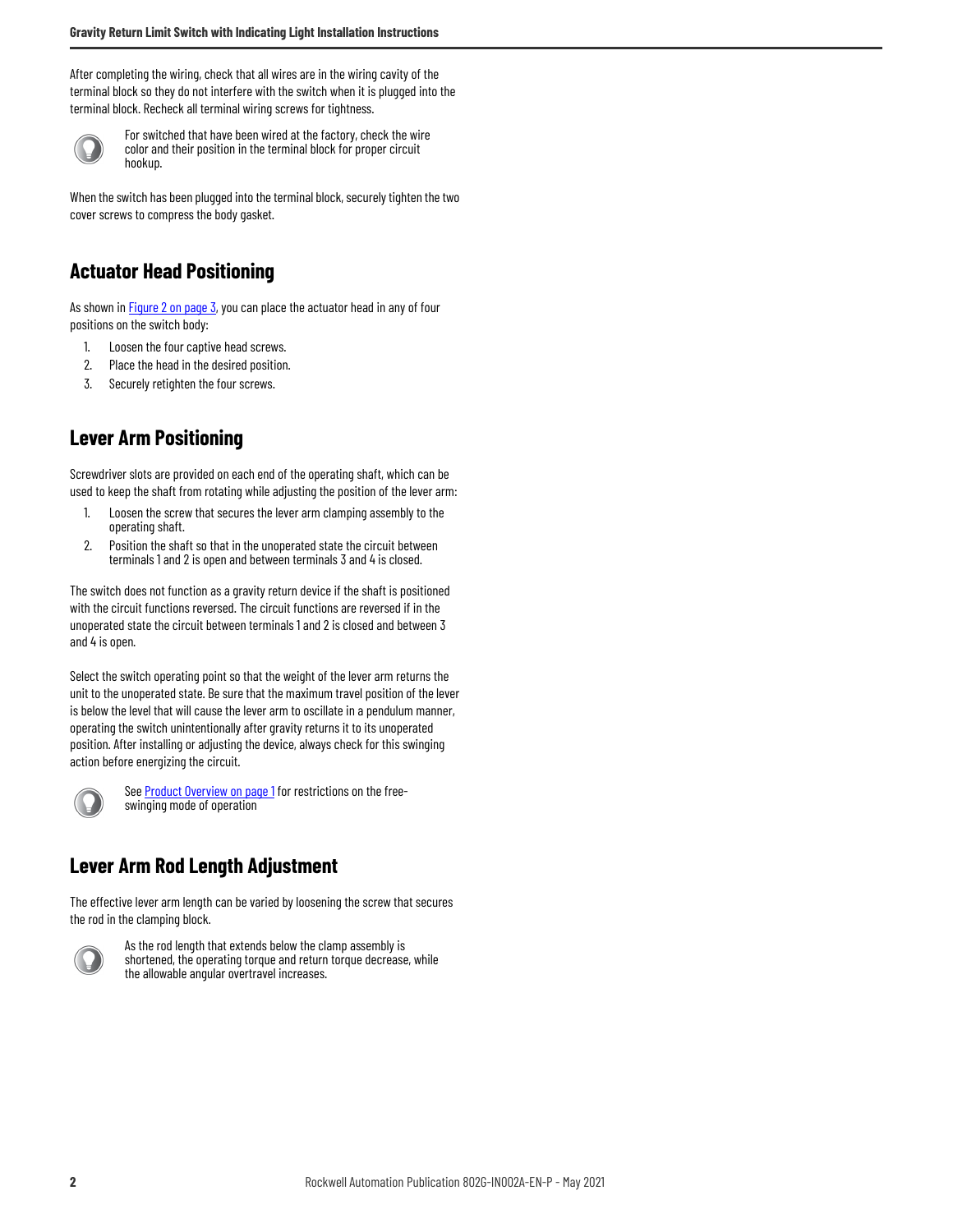After completing the wiring, check that all wires are in the wiring cavity of the terminal block so they do not interfere with the switch when it is plugged into the terminal block. Recheck all terminal wiring screws for tightness.



For switched that have been wired at the factory, check the wire color and their position in the terminal block for proper circuit hookup.

When the switch has been plugged into the terminal block, securely tighten the two cover screws to compress the body gasket.

#### **Actuator Head Positioning**

As shown in **Figure 2 on page 3**, you can place the actuator head in any of four positions on the switch body:

- 1. Loosen the four captive head screws.
- 2. Place the head in the desired position.
- 3. Securely retighten the four screws.

### **Lever Arm Positioning**

Screwdriver slots are provided on each end of the operating shaft, which can be used to keep the shaft from rotating while adjusting the position of the lever arm:

- 1. Loosen the screw that secures the lever arm clamping assembly to the operating shaft.
- 2. Position the shaft so that in the unoperated state the circuit between terminals 1 and 2 is open and between terminals 3 and 4 is closed.

The switch does not function as a gravity return device if the shaft is positioned with the circuit functions reversed. The circuit functions are reversed if in the unoperated state the circuit between terminals 1 and 2 is closed and between 3 and 4 is open.

Select the switch operating point so that the weight of the lever arm returns the unit to the unoperated state. Be sure that the maximum travel position of the lever is below the level that will cause the lever arm to oscillate in a pendulum manner, operating the switch unintentionally after gravity returns it to its unoperated position. After installing or adjusting the device, always check for this swinging action before energizing the circuit.



See **Product Overview on page 1** for restrictions on the freeswinging mode of operation

#### **Lever Arm Rod Length Adjustment**

The effective lever arm length can be varied by loosening the screw that secures the rod in the clamping block.



As the rod length that extends below the clamp assembly is shortened, the operating torque and return torque decrease, while the allowable angular overtravel increases.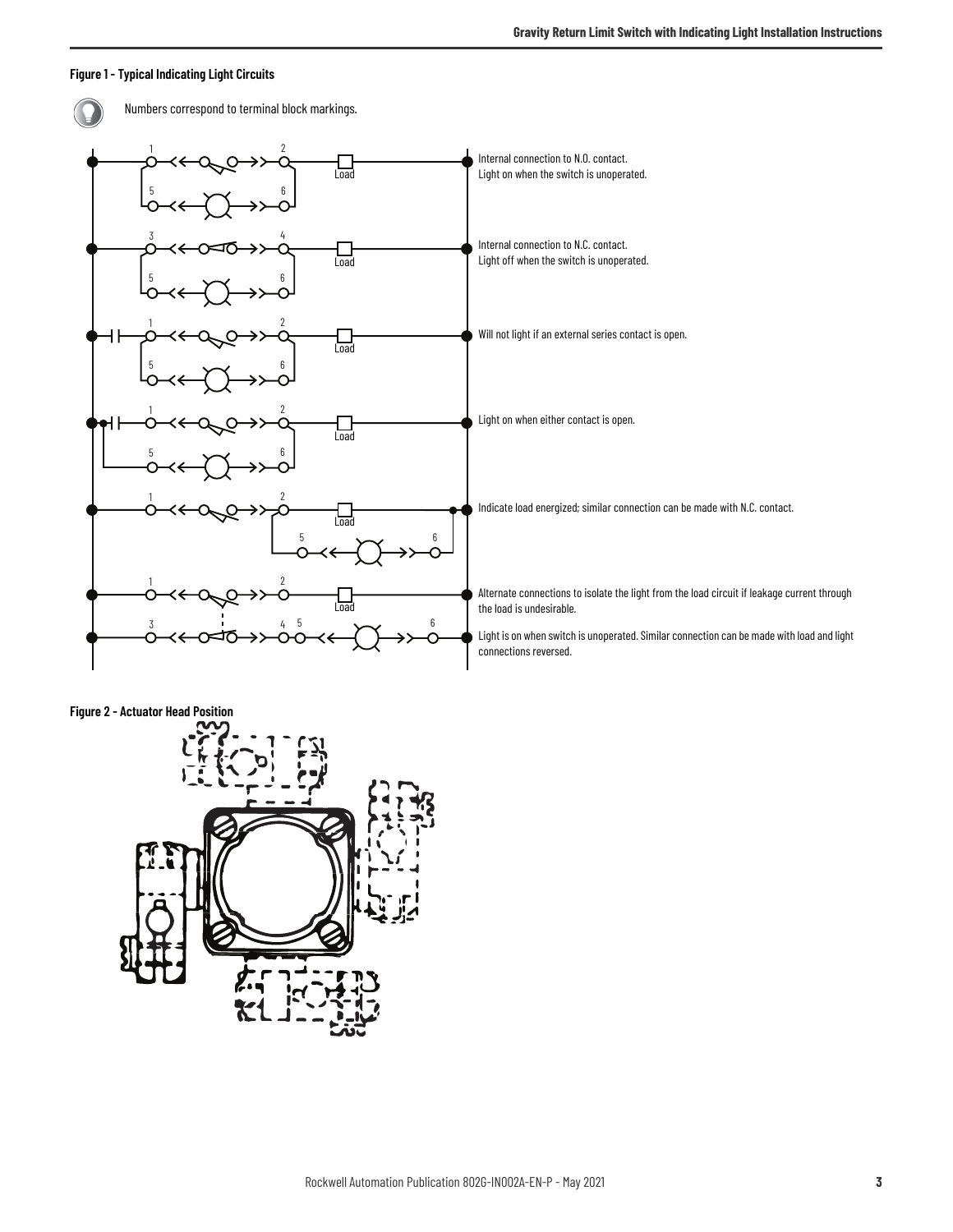#### <span id="page-2-0"></span>**Figure 1 - Typical Indicating Light Circuits**

Numbers correspond to terminal block markings.1 2 Internal connection to N.O. contact. ◠ ᡶ나<br><sub>Load</sub> Light on when the switch is unoperated.  $5 \rightarrow 6$  $\frac{3}{4}$ Internal connection to N.C. contact. Load Light off when the switch is unoperated.  $5 \rightarrow 6$ 1 2 Will not light if an external series contact is open. Load  $5 \rightarrow -4 \rightarrow 6$ 1 2 Light on when either contact is open. Load  $5 \rightarrow -4 \rightarrow 6$ 1 2 Indicate load energized; similar connection can be made with N.C. contact. Load 6 5 1 2 Alternate connections to isolate the light from the load circuit if leakage current through the load is undesirable. Load  $\frac{3}{3}$   $\frac{1}{4}$   $\frac{5}{5}$   $\frac{1}{2}$   $\frac{6}{5}$ Light is on when switch is unoperated. Similar connection can be made with load and light connections reversed.

<span id="page-2-1"></span>**Figure 2 - Actuator Head Position**